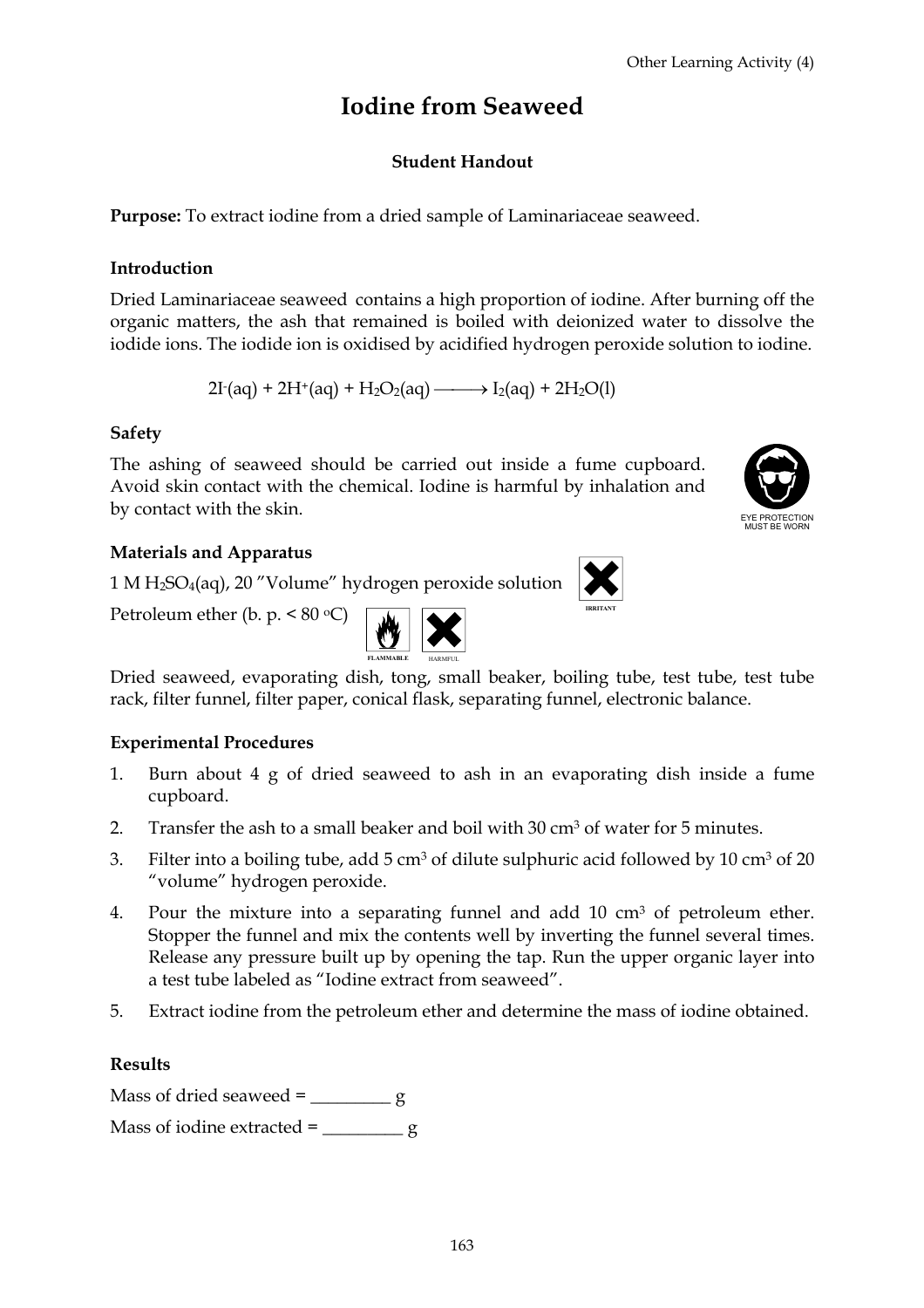# **Iodine from Seaweed**

# **Student Handout**

**Purpose:** To extract iodine from a dried sample of Laminariaceae seaweed.

#### **Introduction**

Dried Laminariaceae seaweed contains a high proportion of iodine. After burning off the organic matters, the ash that remained is boiled with deionized water to dissolve the iodide ions. The iodide ion is oxidised by acidified hydrogen peroxide solution to iodine.

 $2I$  (aq) +  $2H^+(aq) + H_2O_2(aq) \longrightarrow I_2(aq) + 2H_2O(l)$ 

## **Safety**

The ashing of seaweed should be carried out inside a fume cupboard. Avoid skin contact with the chemical. Iodine is harmful by inhalation and by contact with the skin.

**FLAMMABLE** HARMFUL

# **Materials and Apparatus**

1 M H2SO4(aq), 20 "Volume" hydrogen peroxide solution

Petroleum ether (b. p.  $\leq 80$  °C)

Dried seaweed, evaporating dish, tong, small beaker, boiling tube, test tube, test tube rack, filter funnel, filter paper, conical flask, separating funnel, electronic balance.

**IRRITANT** 

## **Experimental Procedures**

- 1. Burn about 4 g of dried seaweed to ash in an evaporating dish inside a fume cupboard.
- 2. Transfer the ash to a small beaker and boil with  $30 \text{ cm}^3$  of water for 5 minutes.
- 3. Filter into a boiling tube, add  $5 \text{ cm}^3$  of dilute sulphuric acid followed by 10 cm<sup>3</sup> of 20 "volume" hydrogen peroxide.
- 4. Pour the mixture into a separating funnel and add 10 cm3 of petroleum ether. Stopper the funnel and mix the contents well by inverting the funnel several times. Release any pressure built up by opening the tap. Run the upper organic layer into a test tube labeled as "Iodine extract from seaweed".
- 5. Extract iodine from the petroleum ether and determine the mass of iodine obtained.

## **Results**

Mass of dried seaweed =  $\qquad q$ 

Mass of iodine extracted  $=$  \_\_\_\_\_\_\_\_\_\_ g